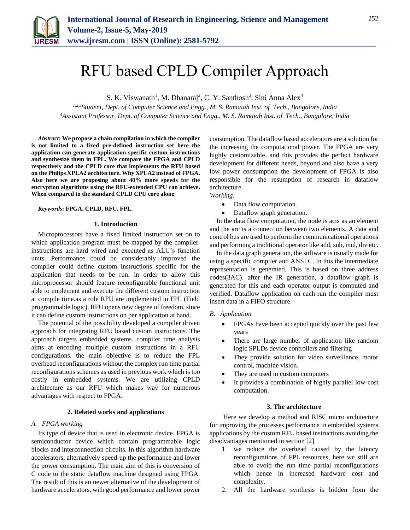

# RFU based CPLD Compiler Approach

S. K. Viswanath<sup>1</sup>, M. Dhanaraj<sup>2</sup>, C. Y. Santhosh<sup>3</sup>, Sini Anna Alex<sup>4</sup>

*1,2,3Student, Dept. of Computer Science and Engg., M. S. Ramaiah Inst. of Tech., Bangalore, India 4Assistant Professor, Dept. of Computer Science and Engg., M. S. Ramaiah Inst. of Tech., Bangalore, India*

*Abstract***: We propose a chain compilation in which the compiler is not limited to a fixed pre-defined instruction set here the application can generate application specific custom instructions and synthesize them in FPL. We compare the FPGA and CPLD respectively and the CPLD core that implements the RFU based on the Philips XPLA2 architecture. Why XPLA2 instead of FPGA. Also here we are proposing about 40% more speeds for the encryption algorithms using the RFU-extended CPU can achieve. When compared to the standard CPLD CPU core alone.**

## *Keywords***: FPGA, CPLD, RFU, FPL.**

#### **1. Introduction**

Microprocessors have a fixed limited instruction set on to which application program must be mapped by the compiler. instructions are hard wired and executed as ALU's function units. Performance could be considerably improved the compiler could define custom instructions specific for the application that needs to be run. in order to allow this microprocessor should feature reconfigurable functional unit able to implement and execute the different custom instruction at compile time.as a role RFU are implemented in FPL (Field programmable logic). RFU opens new degree of freedom, since it can define custom instructions on per application at hand.

The potential of the possibility developed a compiler driven approach for integrating RFU based custom instructions. The approach targets embedded systems. compiler time analysis aims at encoding multiple custom instructions in a RFU configurations. the main objective is to reduce the FPL overhead reconfigurations without the complex run time partial reconfigurations schemes as used in previous work which is too costly in embedded systems. We are utilizing CPLD architecture as our RFU which makes way for numerous advantages with respect to FPGA.

### **2. Related works and applications**

## *A. FPGA working*

Its type of device that is used in electronic device. FPGA is semiconductor device which contain programmable logic blocks and interconnection circuits. In this algorithm hardware accelerators, alternatively speed-up the performance and lower the power consumption. The main aim of this is conversion of C code to the static dataflow machine designed using FPGA. The result of this is an newer alternative of the development of hardware accelerators, with good performance and lower power consumption. The dataflow based accelerators are a solution for the increasing the computational power. The FPGA are very highly customizable, and this provides the perfect hardware development for different needs, beyond and also have a very low power consumption the development of FPGA is also responsible for the resumption of research in dataflow architecture.

*Working:*

- Data flow computation.
- Dataflow graph generation.

In the data flow computation, the node is acts as an element and the arc is a connection between two elements. A data and control bus are used to perform the communicational operations and performing a traditional operator like add, sub, mul, div etc.

In the data graph generation, the software is usually made for using a specific compiler and ANSI C. In this the intermediate representation is generated. This is based on three address codes(3AC). after the IR generation, a dataflow graph is generated for this and each operator output is computed and verified. Dataflow application on each run the compiler must insert data in a FIFO structure.

#### *B. Application*

- FPGAs have been accepted quickly over the past few years
- There are large number of application like random logic SPLDs device controllers and filtering
- They provide solution for video surveillance, motor control, machine vision.
- They are used in custom computers
- It provides a combination of highly parallel low-cost computation.

## **3. The architecture**

Here we develop a method and RISC micro architecture for improving the processes performance in embedded systems applications by the custom RFU based instructions avoiding the disadvantages mentioned in section [2].

- 1. we reduce the overhead caused by the latency reconfigurations of FPL resources, here we still are able to avoid the run time partial reconfigurations which hence in increased hardware cost and complexity.
- 2. All the hardware synthesis is hidden from the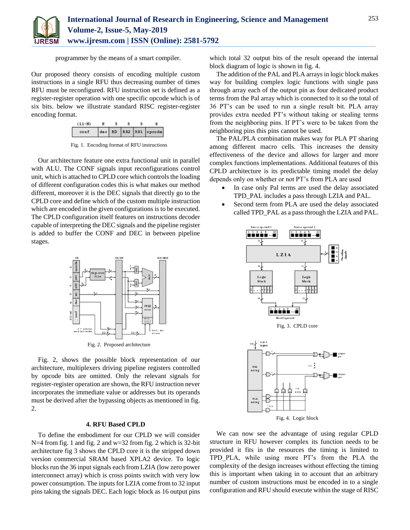

programmer by the means of a smart compiler.

Our proposed theory consists of encoding multiple custom instructions in a single RFU thus decreasing number of times RFU must be reconfigured. RFU instruction set is defined as a register-register operation with one specific opcode which is of six bits. below we illustrate standard RISC register-register encoding format.



Fig. 1. Encoding format of RFU instructions

Our architecture feature one extra functional unit in parallel with ALU. The CONF signals input reconfigurations control unit, which is attached to CPLD core which controls the loading of different configuration codes this is what makes our method different, moreover it is the DEC signals that directly go to the CPLD core and define which of the custom multiple instruction which are encoded in the given configurations is to be executed. The CPLD configuration itself features on instructions decoder capable of interpreting the DEC signals and the pipeline register is added to buffer the CONF and DEC in between pipeline stages.



Fig. 2. Proposed architecture

Fig. 2, shows the possible block representation of our architecture, multiplexers driving pipeline registers controlled by opcode bits are omitted. Only the relevant signals for register-register operation are shown, the RFU instruction never incorporates the immediate value or addresses but its operands must be derived after the bypassing objects as mentioned in fig. 2.

## **4. RFU Based CPLD**

To define the embodiment for our CPLD we will consider N=4 from fig. 1 and fig. 2 and w=32 from fig. 2 which is 32-bit architecture fig 3 shows the CPLD core it is the stripped down version commercial SRAM based XPLA2 device. To logic blocks run the 36 input signals each from LZIA (low zero power interconnect array) which is cross points switch with very low power consumption. The inputs for LZIA come from to 32 input pins taking the signals DEC. Each logic block as 16 output pins

which total 32 output bits of the result operand the internal block diagram of logic is shown in fig. 4.

The addition of the PAL and PLA arrays in logic block makes way for building complex logic functions with single pass through array each of the output pin as four dedicated product terms from the Pal array which is connected to it so the total of 36 PT's can be used to run a single result bit. PLA array provides extra needed PT's without taking or stealing terms from the neighboring pins. If PT's were to be taken from the neighboring pins this pins cannot be used.

The PAL/PLA combination makes way for PLA PT sharing among different macro cells. This increases the density effectiveness of the device and allows for larger and more complex functions implementations. Additional features of this CPLD architecture is its predictable timing model the delay depends only on whether or not PT's from PLA are used

- In case only Pal terms are used the delay associated TPD\_PAL includes a pass through LZIA and PAL.
- Second term from PLA are used the delay associated called TPD\_PAL as a pass through the LZIA and PAL.



We can now see the advantage of using regular CPLD structure in RFU however complex its function needs to be provided it fits in the resources the timing is limited to TPD\_PLA, while using more PT's from the PLA the complexity of the design increases without effecting the timing this is important when taking in to account that an arbitrary number of custom instructions must be encoded in to a single configuration and RFU should execute within the stage of RISC